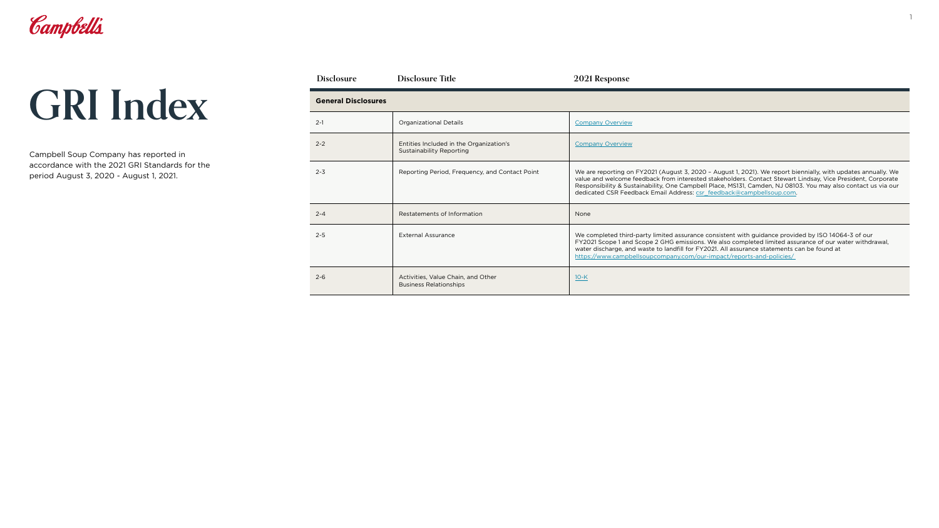Campbell Soup Company has reported in accordance with the 2021 GRI Standards for the period August 3, 2020 - August 1, 2021.



| <b>Disclosure</b>          | <b>Disclosure Title</b>                                                    | 2021 Response                                                                                                                                                                                                                                                                                                                                                                                                         |  |
|----------------------------|----------------------------------------------------------------------------|-----------------------------------------------------------------------------------------------------------------------------------------------------------------------------------------------------------------------------------------------------------------------------------------------------------------------------------------------------------------------------------------------------------------------|--|
| <b>General Disclosures</b> |                                                                            |                                                                                                                                                                                                                                                                                                                                                                                                                       |  |
| $2 - 1$                    | <b>Organizational Details</b>                                              | <b>Company Overview</b>                                                                                                                                                                                                                                                                                                                                                                                               |  |
| $2 - 2$                    | Entities Included in the Organization's<br><b>Sustainability Reporting</b> | <b>Company Overview</b>                                                                                                                                                                                                                                                                                                                                                                                               |  |
| $2 - 3$                    | Reporting Period, Frequency, and Contact Point                             | We are reporting on FY2021 (August 3, 2020 - August 1, 2021). We report biennially, with updates annually. We<br>value and welcome feedback from interested stakeholders. Contact Stewart Lindsay, Vice President, Corporate<br>Responsibility & Sustainability, One Campbell Place, MS131, Camden, NJ 08103. You may also contact us via our<br>dedicated CSR Feedback Email Address: csr feedback@campbellsoup.com. |  |
| $2 - 4$                    | Restatements of Information                                                | None                                                                                                                                                                                                                                                                                                                                                                                                                  |  |
| $2 - 5$                    | <b>External Assurance</b>                                                  | We completed third-party limited assurance consistent with guidance provided by ISO 14064-3 of our<br>FY2021 Scope 1 and Scope 2 GHG emissions. We also completed limited assurance of our water withdrawal,<br>water discharge, and waste to landfill for FY2021. All assurance statements can be found at<br>https://www.campbellsoupcompany.com/our-impact/reports-and-policies/                                   |  |
| $2 - 6$                    | Activities, Value Chain, and Other<br><b>Business Relationships</b>        | $10-K$                                                                                                                                                                                                                                                                                                                                                                                                                |  |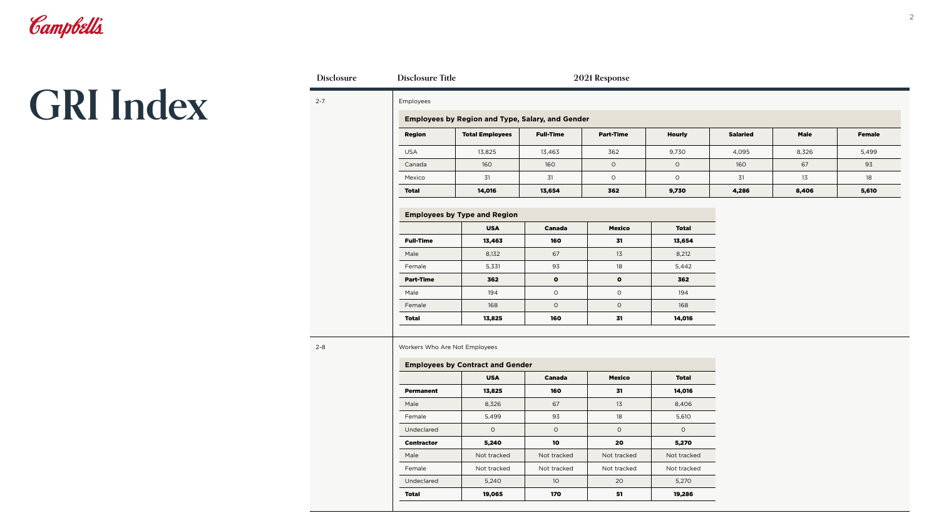

| Disclosure | <b>Disclosure Title</b>       |                                                         |                  | 2021 Response    |               |                 |             |               |
|------------|-------------------------------|---------------------------------------------------------|------------------|------------------|---------------|-----------------|-------------|---------------|
| $2 - 7$    | Employees                     |                                                         |                  |                  |               |                 |             |               |
|            |                               | <b>Employees by Region and Type, Salary, and Gender</b> |                  |                  |               |                 |             |               |
|            | <b>Region</b>                 | <b>Total Employees</b>                                  | <b>Full-Time</b> | <b>Part-Time</b> | <b>Hourly</b> | <b>Salaried</b> | <b>Male</b> | <b>Female</b> |
|            | <b>USA</b>                    | 13,825                                                  | 13,463           | 362              | 9,730         | 4,095           | 8,326       | 5,499         |
|            | Canada                        | 160                                                     | 160              | $\circ$          | $\circ$       | 160             | 67          | 93            |
|            | Mexico                        | 31                                                      | 31               | $\circ$          | $\circ$       | 31              | 13          | 18            |
|            | <b>Total</b>                  | 14,016                                                  | 13,654           | 362              | 9,730         | 4,286           | 8,406       | 5,610         |
|            |                               |                                                         |                  |                  |               |                 |             |               |
|            |                               | <b>Employees by Type and Region</b>                     |                  |                  |               |                 |             |               |
|            |                               | <b>USA</b>                                              | <b>Canada</b>    | <b>Mexico</b>    | <b>Total</b>  |                 |             |               |
|            | <b>Full-Time</b>              | 13,463                                                  | 160              | 31               | 13,654        |                 |             |               |
|            | Male                          | 8,132                                                   | 67               | 13               | 8,212         |                 |             |               |
|            | Female                        | 5,331                                                   | 93               | 18               | 5,442         |                 |             |               |
|            | <b>Part-Time</b>              | 362                                                     | $\bullet$        | $\bullet$        | 362           |                 |             |               |
|            | Male                          | 194                                                     | $\circ$          | $\mathsf O$      | 194           |                 |             |               |
|            | Female                        | 168                                                     | $\circ$          | $\mathsf O$      | 168           |                 |             |               |
|            | <b>Total</b>                  | 13,825                                                  | 160              | 31               | 14,016        |                 |             |               |
| $2 - 8$    | Workers Who Are Not Employees | <b>Employees by Contract and Gender</b><br><b>USA</b>   | <b>Canada</b>    | <b>Mexico</b>    | <b>Total</b>  |                 |             |               |
|            | <b>Permanent</b>              | 13,825                                                  | 160              | 31               | 14,016        |                 |             |               |
|            | Male                          | 8,326                                                   | 67               | 13               | 8,406         |                 |             |               |
|            | Female                        | 5,499                                                   | 93               | 18               | 5,610         |                 |             |               |
|            | Undeclared                    | $\circ$                                                 | $\circ$          | $\circ$          | $\circ$       |                 |             |               |
|            | <b>Contractor</b>             | 5,240                                                   | 10               | 20               | 5,270         |                 |             |               |
|            | Male                          | Not tracked                                             | Not tracked      | Not tracked      | Not tracked   |                 |             |               |
|            | Female                        | Not tracked                                             | Not tracked      | Not tracked      | Not tracked   |                 |             |               |
|            |                               |                                                         |                  |                  |               |                 |             |               |
|            | Undeclared                    | 5,240                                                   | 10 <sup>°</sup>  | $20\,$           | 5,270         |                 |             |               |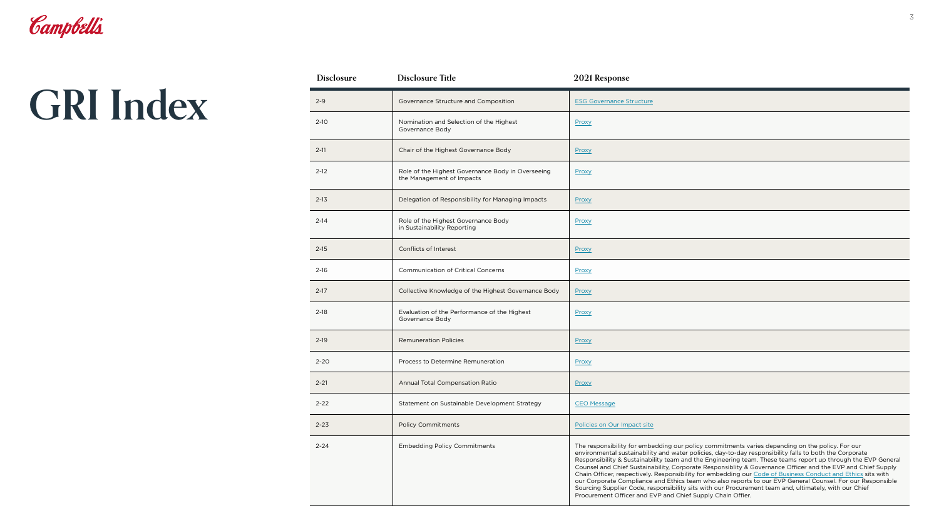| <b>Disclosure</b> | <b>Disclosure Title</b>                                                        | 2021 Response                                                                                                                                                                                                                                  |
|-------------------|--------------------------------------------------------------------------------|------------------------------------------------------------------------------------------------------------------------------------------------------------------------------------------------------------------------------------------------|
| $2 - 9$           | Governance Structure and Composition                                           | <b>ESG Governance Structure</b>                                                                                                                                                                                                                |
| $2 - 10$          | Nomination and Selection of the Highest<br>Governance Body                     | Proxy                                                                                                                                                                                                                                          |
| $2 - 11$          | Chair of the Highest Governance Body                                           | Proxy                                                                                                                                                                                                                                          |
| $2 - 12$          | Role of the Highest Governance Body in Overseeing<br>the Management of Impacts | Proxy                                                                                                                                                                                                                                          |
| $2 - 13$          | Delegation of Responsibility for Managing Impacts                              | Proxy                                                                                                                                                                                                                                          |
| $2 - 14$          | Role of the Highest Governance Body<br>in Sustainability Reporting             | Proxy                                                                                                                                                                                                                                          |
| $2 - 15$          | Conflicts of Interest                                                          | Proxy                                                                                                                                                                                                                                          |
| $2 - 16$          | <b>Communication of Critical Concerns</b>                                      | Proxy                                                                                                                                                                                                                                          |
| $2 - 17$          | Collective Knowledge of the Highest Governance Body                            | Proxy                                                                                                                                                                                                                                          |
| $2 - 18$          | Evaluation of the Performance of the Highest<br>Governance Body                | Proxy                                                                                                                                                                                                                                          |
| $2 - 19$          | <b>Remuneration Policies</b>                                                   | Proxy                                                                                                                                                                                                                                          |
| $2 - 20$          | Process to Determine Remuneration                                              | Proxy                                                                                                                                                                                                                                          |
| $2 - 21$          | Annual Total Compensation Ratio                                                | Proxy                                                                                                                                                                                                                                          |
| $2 - 22$          | Statement on Sustainable Development Strategy                                  | <b>CEO Message</b>                                                                                                                                                                                                                             |
| $2 - 23$          | <b>Policy Commitments</b>                                                      | Policies on Our Impact site                                                                                                                                                                                                                    |
| $2 - 24$          | <b>Embedding Policy Commitments</b>                                            | The responsibility for embe<br>environmental sustainabilit<br>Responsibility & Sustainabi<br>Counsel and Chief Sustaina<br>Chain Officer, respectively.<br>our Corporate Compliance<br>Sourcing Supplier Code, re<br>Procurement Officer and E |

| $2 - 9$  | Governance Structure and Composition                                           | <b>ESG Governance Structure</b>                                                                                                                                                                                                                                                                                                                                                                                                                                                                                                                                                                                                                                                                                                                                                                                                             |
|----------|--------------------------------------------------------------------------------|---------------------------------------------------------------------------------------------------------------------------------------------------------------------------------------------------------------------------------------------------------------------------------------------------------------------------------------------------------------------------------------------------------------------------------------------------------------------------------------------------------------------------------------------------------------------------------------------------------------------------------------------------------------------------------------------------------------------------------------------------------------------------------------------------------------------------------------------|
| $2 - 10$ | Nomination and Selection of the Highest<br>Governance Body                     | Proxy                                                                                                                                                                                                                                                                                                                                                                                                                                                                                                                                                                                                                                                                                                                                                                                                                                       |
| $2 - 11$ | Chair of the Highest Governance Body                                           | Proxy                                                                                                                                                                                                                                                                                                                                                                                                                                                                                                                                                                                                                                                                                                                                                                                                                                       |
| $2 - 12$ | Role of the Highest Governance Body in Overseeing<br>the Management of Impacts | Proxy                                                                                                                                                                                                                                                                                                                                                                                                                                                                                                                                                                                                                                                                                                                                                                                                                                       |
| $2 - 13$ | Delegation of Responsibility for Managing Impacts                              | Proxy                                                                                                                                                                                                                                                                                                                                                                                                                                                                                                                                                                                                                                                                                                                                                                                                                                       |
| $2 - 14$ | Role of the Highest Governance Body<br>in Sustainability Reporting             | Proxy                                                                                                                                                                                                                                                                                                                                                                                                                                                                                                                                                                                                                                                                                                                                                                                                                                       |
| $2 - 15$ | Conflicts of Interest                                                          | Proxy                                                                                                                                                                                                                                                                                                                                                                                                                                                                                                                                                                                                                                                                                                                                                                                                                                       |
| 2-16     | <b>Communication of Critical Concerns</b>                                      | Proxy                                                                                                                                                                                                                                                                                                                                                                                                                                                                                                                                                                                                                                                                                                                                                                                                                                       |
| $2 - 17$ | Collective Knowledge of the Highest Governance Body                            | Proxy                                                                                                                                                                                                                                                                                                                                                                                                                                                                                                                                                                                                                                                                                                                                                                                                                                       |
| $2 - 18$ | Evaluation of the Performance of the Highest<br>Governance Body                | Proxy                                                                                                                                                                                                                                                                                                                                                                                                                                                                                                                                                                                                                                                                                                                                                                                                                                       |
| $2 - 19$ | <b>Remuneration Policies</b>                                                   | Proxy                                                                                                                                                                                                                                                                                                                                                                                                                                                                                                                                                                                                                                                                                                                                                                                                                                       |
| $2 - 20$ | Process to Determine Remuneration                                              | Proxy                                                                                                                                                                                                                                                                                                                                                                                                                                                                                                                                                                                                                                                                                                                                                                                                                                       |
| $2 - 21$ | Annual Total Compensation Ratio                                                | Proxy                                                                                                                                                                                                                                                                                                                                                                                                                                                                                                                                                                                                                                                                                                                                                                                                                                       |
| $2 - 22$ | Statement on Sustainable Development Strategy                                  | <b>CEO Message</b>                                                                                                                                                                                                                                                                                                                                                                                                                                                                                                                                                                                                                                                                                                                                                                                                                          |
| $2 - 23$ | <b>Policy Commitments</b>                                                      | Policies on Our Impact site                                                                                                                                                                                                                                                                                                                                                                                                                                                                                                                                                                                                                                                                                                                                                                                                                 |
| $2 - 24$ | <b>Embedding Policy Commitments</b>                                            | The responsibility for embedding our policy commitments varies depending on the policy. For our<br>environmental sustainability and water policies, day-to-day responsibility falls to both the Corporate<br>Responsibility & Sustainability team and the Engineering team. These teams report up through the EVP General<br>Counsel and Chief Sustainability, Corporate Responsiblity & Governance Officer and the EVP and Chief Supply<br>Chain Officer, respectively. Responsibility for embedding our Code of Business Conduct and Ethics sits with<br>our Corporate Compliance and Ethics team who also reports to our EVP General Counsel. For our Responsible<br>Sourcing Supplier Code, responsibility sits with our Procurement team and, ultimately, with our Chief<br>Procurement Officer and EVP and Chief Supply Chain Offier. |

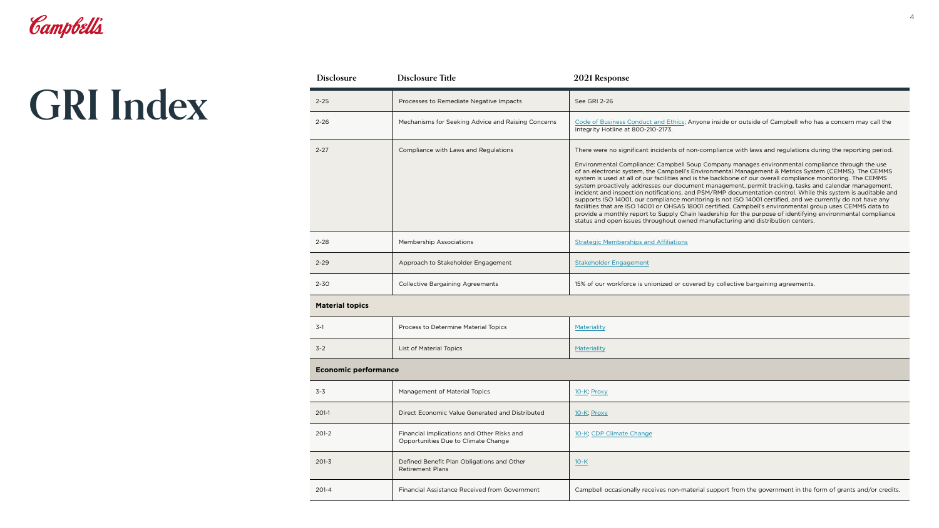| <b>Disclosure</b>           | <b>Disclosure Title</b>                                                           | 2021 Response                                                                                                                                                                                                                                                                                                                                                                                                                                                                                                                                                                                                                                                                                                                                                                                                                                                                                                                                                                                                                                                                                 |  |
|-----------------------------|-----------------------------------------------------------------------------------|-----------------------------------------------------------------------------------------------------------------------------------------------------------------------------------------------------------------------------------------------------------------------------------------------------------------------------------------------------------------------------------------------------------------------------------------------------------------------------------------------------------------------------------------------------------------------------------------------------------------------------------------------------------------------------------------------------------------------------------------------------------------------------------------------------------------------------------------------------------------------------------------------------------------------------------------------------------------------------------------------------------------------------------------------------------------------------------------------|--|
| $2 - 25$                    | Processes to Remediate Negative Impacts                                           | See GRI 2-26                                                                                                                                                                                                                                                                                                                                                                                                                                                                                                                                                                                                                                                                                                                                                                                                                                                                                                                                                                                                                                                                                  |  |
| $2 - 26$                    | Mechanisms for Seeking Advice and Raising Concerns                                | Code of Business Conduct and Ethics; Anyone inside or outside of Campbell who has a concern may call the<br>Integrity Hotline at 800-210-2173.                                                                                                                                                                                                                                                                                                                                                                                                                                                                                                                                                                                                                                                                                                                                                                                                                                                                                                                                                |  |
| $2 - 27$                    | Compliance with Laws and Regulations                                              | There were no significant incidents of non-compliance with laws and regulations during the reporting period.<br>Environmental Compliance: Campbell Soup Company manages environmental compliance through the use<br>of an electronic system, the Campbell's Environmental Management & Metrics System (CEMMS). The CEMMS<br>system is used at all of our facilities and is the backbone of our overall compliance monitoring. The CEMMS<br>system proactively addresses our document management, permit tracking, tasks and calendar management,<br>incident and inspection notifications, and PSM/RMP documentation control. While this system is auditable and<br>supports ISO 14001, our compliance monitoring is not ISO 14001 certified, and we currently do not have any<br>facilities that are ISO 14001 or OHSAS 18001 certified. Campbell's environmental group uses CEMMS data to<br>provide a monthly report to Supply Chain leadership for the purpose of identifying environmental compliance<br>status and open issues throughout owned manufacturing and distribution centers. |  |
| $2 - 28$                    | <b>Membership Associations</b>                                                    | <b>Strategic Memberships and Affiliations</b>                                                                                                                                                                                                                                                                                                                                                                                                                                                                                                                                                                                                                                                                                                                                                                                                                                                                                                                                                                                                                                                 |  |
| $2 - 29$                    | Approach to Stakeholder Engagement                                                | Stakeholder Engagement                                                                                                                                                                                                                                                                                                                                                                                                                                                                                                                                                                                                                                                                                                                                                                                                                                                                                                                                                                                                                                                                        |  |
| $2 - 30$                    | <b>Collective Bargaining Agreements</b>                                           | 15% of our workforce is unionized or covered by collective bargaining agreements.                                                                                                                                                                                                                                                                                                                                                                                                                                                                                                                                                                                                                                                                                                                                                                                                                                                                                                                                                                                                             |  |
| <b>Material topics</b>      |                                                                                   |                                                                                                                                                                                                                                                                                                                                                                                                                                                                                                                                                                                                                                                                                                                                                                                                                                                                                                                                                                                                                                                                                               |  |
| $3-1$                       | Process to Determine Material Topics                                              | Materiality                                                                                                                                                                                                                                                                                                                                                                                                                                                                                                                                                                                                                                                                                                                                                                                                                                                                                                                                                                                                                                                                                   |  |
| $3 - 2$                     | <b>List of Material Topics</b>                                                    | Materiality                                                                                                                                                                                                                                                                                                                                                                                                                                                                                                                                                                                                                                                                                                                                                                                                                                                                                                                                                                                                                                                                                   |  |
| <b>Economic performance</b> |                                                                                   |                                                                                                                                                                                                                                                                                                                                                                                                                                                                                                                                                                                                                                                                                                                                                                                                                                                                                                                                                                                                                                                                                               |  |
| $3 - 3$                     | Management of Material Topics                                                     | 10-K, Proxy                                                                                                                                                                                                                                                                                                                                                                                                                                                                                                                                                                                                                                                                                                                                                                                                                                                                                                                                                                                                                                                                                   |  |
| $201-1$                     | Direct Economic Value Generated and Distributed                                   | 10-K, Proxy                                                                                                                                                                                                                                                                                                                                                                                                                                                                                                                                                                                                                                                                                                                                                                                                                                                                                                                                                                                                                                                                                   |  |
| $201-2$                     | Financial Implications and Other Risks and<br>Opportunities Due to Climate Change | 10-K, CDP Climate Change                                                                                                                                                                                                                                                                                                                                                                                                                                                                                                                                                                                                                                                                                                                                                                                                                                                                                                                                                                                                                                                                      |  |
| $201 - 3$                   | Defined Benefit Plan Obligations and Other<br><b>Retirement Plans</b>             | $10-K$                                                                                                                                                                                                                                                                                                                                                                                                                                                                                                                                                                                                                                                                                                                                                                                                                                                                                                                                                                                                                                                                                        |  |
| $201 - 4$                   | Financial Assistance Received from Government                                     | Campbell occasionally receives non-material support from the government in the form of grants and/or credits.                                                                                                                                                                                                                                                                                                                                                                                                                                                                                                                                                                                                                                                                                                                                                                                                                                                                                                                                                                                 |  |
|                             |                                                                                   |                                                                                                                                                                                                                                                                                                                                                                                                                                                                                                                                                                                                                                                                                                                                                                                                                                                                                                                                                                                                                                                                                               |  |

| Code of Business Conduct and Ethics; Anyone inside or outside of Campbell who has a concern may call the<br>Concerns<br>Integrity Hotline at 800-210-2173.                                                                                                                                                                                                                                                                                                                                                                                                                                                                                                                                                                                                                                                                                                                                                                                                                                                                                                                                    |  |
|-----------------------------------------------------------------------------------------------------------------------------------------------------------------------------------------------------------------------------------------------------------------------------------------------------------------------------------------------------------------------------------------------------------------------------------------------------------------------------------------------------------------------------------------------------------------------------------------------------------------------------------------------------------------------------------------------------------------------------------------------------------------------------------------------------------------------------------------------------------------------------------------------------------------------------------------------------------------------------------------------------------------------------------------------------------------------------------------------|--|
|                                                                                                                                                                                                                                                                                                                                                                                                                                                                                                                                                                                                                                                                                                                                                                                                                                                                                                                                                                                                                                                                                               |  |
| There were no significant incidents of non-compliance with laws and regulations during the reporting period.<br>Environmental Compliance: Campbell Soup Company manages environmental compliance through the use<br>of an electronic system, the Campbell's Environmental Management & Metrics System (CEMMS). The CEMMS<br>system is used at all of our facilities and is the backbone of our overall compliance monitoring. The CEMMS<br>system proactively addresses our document management, permit tracking, tasks and calendar management,<br>incident and inspection notifications, and PSM/RMP documentation control. While this system is auditable and<br>supports ISO 14001, our compliance monitoring is not ISO 14001 certified, and we currently do not have any<br>facilities that are ISO 14001 or OHSAS 18001 certified. Campbell's environmental group uses CEMMS data to<br>provide a monthly report to Supply Chain leadership for the purpose of identifying environmental compliance<br>status and open issues throughout owned manufacturing and distribution centers. |  |
| <b>Strategic Memberships and Affiliations</b>                                                                                                                                                                                                                                                                                                                                                                                                                                                                                                                                                                                                                                                                                                                                                                                                                                                                                                                                                                                                                                                 |  |
| Stakeholder Engagement                                                                                                                                                                                                                                                                                                                                                                                                                                                                                                                                                                                                                                                                                                                                                                                                                                                                                                                                                                                                                                                                        |  |
| 15% of our workforce is unionized or covered by collective bargaining agreements.                                                                                                                                                                                                                                                                                                                                                                                                                                                                                                                                                                                                                                                                                                                                                                                                                                                                                                                                                                                                             |  |

|       | 10-K; Proxy                                                                                                   |
|-------|---------------------------------------------------------------------------------------------------------------|
| buted | 10-K; Proxy                                                                                                   |
|       | 10-K; CDP Climate Change                                                                                      |
|       | $10-K$                                                                                                        |
| ∩ent  | Campbell occasionally receives non-material support from the government in the form of grants and/or credits. |

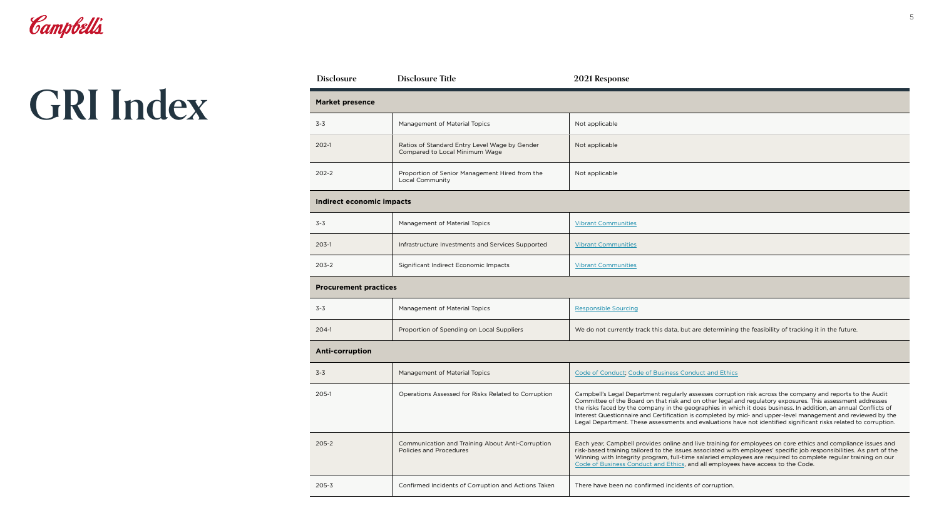|       | Not applicable |
|-------|----------------|
| der   | Not applicable |
| n the | Not applicable |

|        | <b>Vibrant Communities</b> |
|--------|----------------------------|
| ported | <b>Vibrant Communities</b> |
|        | <b>Vibrant Communities</b> |

| <b>Disclosure</b>            | <b>Disclosure Title</b>                                                            | 2021 Response                                                                                                                                                                                                                                                                                  |
|------------------------------|------------------------------------------------------------------------------------|------------------------------------------------------------------------------------------------------------------------------------------------------------------------------------------------------------------------------------------------------------------------------------------------|
| <b>Market presence</b>       |                                                                                    |                                                                                                                                                                                                                                                                                                |
| $3 - 3$                      | Management of Material Topics                                                      | Not applicable                                                                                                                                                                                                                                                                                 |
| $202 - 1$                    | Ratios of Standard Entry Level Wage by Gender<br>Compared to Local Minimum Wage    | Not applicable                                                                                                                                                                                                                                                                                 |
| $202 - 2$                    | Proportion of Senior Management Hired from the<br>Local Community                  | Not applicable                                                                                                                                                                                                                                                                                 |
| Indirect economic impacts    |                                                                                    |                                                                                                                                                                                                                                                                                                |
| $3 - 3$                      | Management of Material Topics                                                      | <b>Vibrant Communities</b>                                                                                                                                                                                                                                                                     |
| $203-1$                      | Infrastructure Investments and Services Supported                                  | <b>Vibrant Communities</b>                                                                                                                                                                                                                                                                     |
| $203 - 2$                    | Significant Indirect Economic Impacts                                              | <b>Vibrant Communities</b>                                                                                                                                                                                                                                                                     |
| <b>Procurement practices</b> |                                                                                    |                                                                                                                                                                                                                                                                                                |
| $3 - 3$                      | Management of Material Topics                                                      | <b>Responsible Sourcing</b>                                                                                                                                                                                                                                                                    |
| $204-1$                      | Proportion of Spending on Local Suppliers                                          | We do not currently track this data, but are determining                                                                                                                                                                                                                                       |
| <b>Anti-corruption</b>       |                                                                                    |                                                                                                                                                                                                                                                                                                |
| $3 - 3$                      | Management of Material Topics                                                      | Code of Conduct, Code of Business Conduct and Ethic                                                                                                                                                                                                                                            |
| 205-1                        | Operations Assessed for Risks Related to Corruption                                | Campbell's Legal Department regularly assesses corrup<br>Committee of the Board on that risk and on other legal<br>the risks faced by the company in the geographies in w<br>Interest Questionnaire and Certification is completed by<br>Legal Department. These assessments and evaluations I |
| $205 - 2$                    | Communication and Training About Anti-Corruption<br><b>Policies and Procedures</b> | Each year, Campbell provides online and live training fo<br>risk-based training tailored to the issues associated wit<br>Winning with Integrity program, full-time salaried emp<br>Code of Business Conduct and Ethics, and all employe                                                        |
| $205 - 3$                    | Confirmed Incidents of Corruption and Actions Taken                                | There have been no confirmed incidents of corruption.                                                                                                                                                                                                                                          |

| $3 - 3$                | Management of Material Topics                                                      | <b>Responsible Sourcing</b>                                                                                                                                                                                                                                                                                                                                                                                                                                                                                                                                                      |
|------------------------|------------------------------------------------------------------------------------|----------------------------------------------------------------------------------------------------------------------------------------------------------------------------------------------------------------------------------------------------------------------------------------------------------------------------------------------------------------------------------------------------------------------------------------------------------------------------------------------------------------------------------------------------------------------------------|
| 204-1                  | Proportion of Spending on Local Suppliers                                          | We do not currently track this data, but are determining the feasibility of tracking it in the future.                                                                                                                                                                                                                                                                                                                                                                                                                                                                           |
| <b>Anti-corruption</b> |                                                                                    |                                                                                                                                                                                                                                                                                                                                                                                                                                                                                                                                                                                  |
| $3 - 3$                | Management of Material Topics                                                      | Code of Conduct; Code of Business Conduct and Ethics                                                                                                                                                                                                                                                                                                                                                                                                                                                                                                                             |
| 205-1                  | Operations Assessed for Risks Related to Corruption                                | Campbell's Legal Department regularly assesses corruption risk across the company and reports to the Audit<br>Committee of the Board on that risk and on other legal and regulatory exposures. This assessment addresses<br>the risks faced by the company in the geographies in which it does business. In addition, an annual Conflicts of<br>Interest Questionnaire and Certification is completed by mid- and upper-level management and reviewed by the<br>Legal Department. These assessments and evaluations have not identified significant risks related to corruption. |
| 205-2                  | Communication and Training About Anti-Corruption<br><b>Policies and Procedures</b> | Each year, Campbell provides online and live training for employees on core ethics and compliance issues and<br>risk-based training tailored to the issues associated with employees' specific job responsibilities. As part of the<br>Winning with Integrity program, full-time salaried employees are required to complete regular training on our<br>Code of Business Conduct and Ethics, and all employees have access to the Code.                                                                                                                                          |
| 205-3                  | Confirmed Incidents of Corruption and Actions Taken                                | There have been no confirmed incidents of corruption.                                                                                                                                                                                                                                                                                                                                                                                                                                                                                                                            |

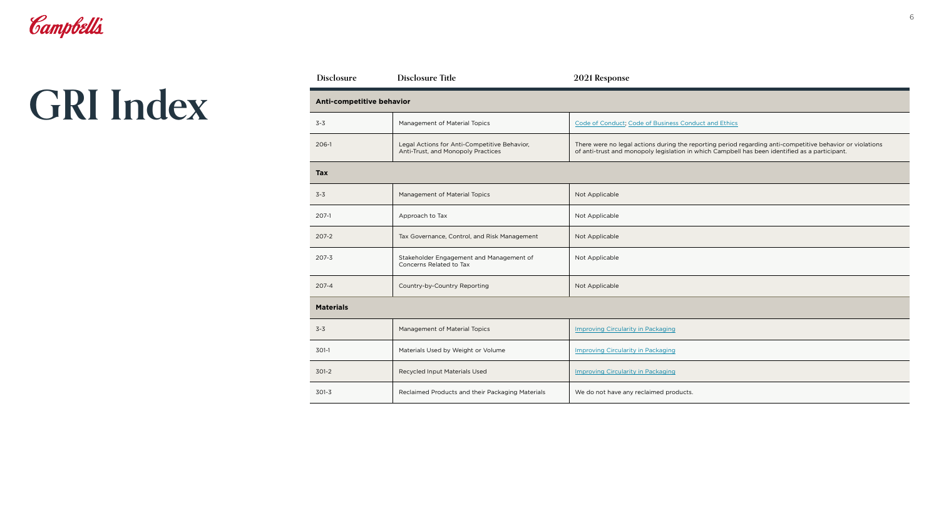| Allti-competitive beliavior |                                                                                    |                                                                                                                                                                                                             |  |  |
|-----------------------------|------------------------------------------------------------------------------------|-------------------------------------------------------------------------------------------------------------------------------------------------------------------------------------------------------------|--|--|
| $3 - 3$                     | Management of Material Topics                                                      | Code of Conduct; Code of Business Conduct and Ethics                                                                                                                                                        |  |  |
| 206-1                       | Legal Actions for Anti-Competitive Behavior,<br>Anti-Trust, and Monopoly Practices | There were no legal actions during the reporting period regarding anti-competitive behavior or violations<br>of anti-trust and monopoly legislation in which Campbell has been identified as a participant. |  |  |
| <b>Tax</b>                  |                                                                                    |                                                                                                                                                                                                             |  |  |
| $3 - 3$                     | Management of Material Topics                                                      | Not Applicable                                                                                                                                                                                              |  |  |
| 207-1                       | Approach to Tax                                                                    | Not Applicable                                                                                                                                                                                              |  |  |
| 207-2                       | Tax Governance, Control, and Risk Management                                       | Not Applicable                                                                                                                                                                                              |  |  |
| 207-3                       | Stakeholder Engagement and Management of<br>Concerns Related to Tax                | Not Applicable                                                                                                                                                                                              |  |  |
| 207-4                       | Country-by-Country Reporting                                                       | Not Applicable                                                                                                                                                                                              |  |  |
| <b>Materials</b>            |                                                                                    |                                                                                                                                                                                                             |  |  |
| $3 - 3$                     | Management of Material Topics                                                      | <b>Improving Circularity in Packaging</b>                                                                                                                                                                   |  |  |
| 301-1                       | Materials Used by Weight or Volume                                                 | <b>Improving Circularity in Packaging</b>                                                                                                                                                                   |  |  |
| 301-2                       | Recycled Input Materials Used                                                      | <b>Improving Circularity in Packaging</b>                                                                                                                                                                   |  |  |
| 301-3                       | Reclaimed Products and their Packaging Materials                                   | We do not have any reclaimed products.                                                                                                                                                                      |  |  |
|                             |                                                                                    |                                                                                                                                                                                                             |  |  |

| <b>Disclosure</b> | <b>Disclosure Title</b>                                                            | 2021 Response                                                                          |  |  |  |
|-------------------|------------------------------------------------------------------------------------|----------------------------------------------------------------------------------------|--|--|--|
|                   | <b>Anti-competitive behavior</b>                                                   |                                                                                        |  |  |  |
| $3 - 3$           | Management of Material Topics<br>Code of Conduct; Code of Business Con             |                                                                                        |  |  |  |
| $206-1$           | Legal Actions for Anti-Competitive Behavior,<br>Anti-Trust, and Monopoly Practices | There were no legal actions during the re<br>of anti-trust and monopoly legislation in |  |  |  |
| <b>Tax</b>        |                                                                                    |                                                                                        |  |  |  |
| $3 - 3$           | <b>Management of Material Topics</b>                                               | Not Applicable                                                                         |  |  |  |
| $207-1$           | Approach to Tax                                                                    | Not Applicable                                                                         |  |  |  |
| $207 - 2$         | Tax Governance, Control, and Risk Management<br>Not Applicable                     |                                                                                        |  |  |  |
| $207 - 3$         | Stakeholder Engagement and Management of<br>Concerns Related to Tax                | Not Applicable                                                                         |  |  |  |
| $207 - 4$         | Country-by-Country Reporting                                                       | Not Applicable                                                                         |  |  |  |
| <b>Materials</b>  |                                                                                    |                                                                                        |  |  |  |
| $3 - 3$           | Management of Material Topics                                                      | <b>Improving Circularity in Packaging</b>                                              |  |  |  |
| 301-1             | Materials Used by Weight or Volume                                                 | <b>Improving Circularity in Packaging</b>                                              |  |  |  |
| $301-2$           | Recycled Input Materials Used<br><b>Improving Circularity in Packaging</b>         |                                                                                        |  |  |  |
| $301 - 3$         | Reclaimed Products and their Packaging Materials                                   | We do not have any reclaimed products.                                                 |  |  |  |

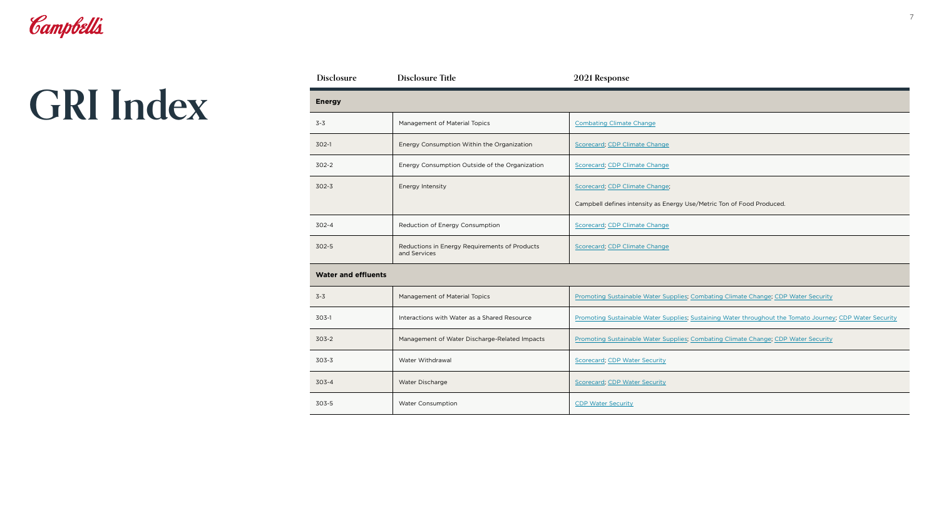| <b>Disclosure</b>          | <b>Disclosure Title</b>                                                                        | 2021 Response                         |
|----------------------------|------------------------------------------------------------------------------------------------|---------------------------------------|
| <b>Energy</b>              |                                                                                                |                                       |
| $3 - 3$                    | Management of Material Topics                                                                  | <b>Combating Climate Change</b>       |
| 302-1                      | Energy Consumption Within the Organization                                                     | <b>Scorecard</b> ; CDP Climate Change |
| $302 - 2$                  | Energy Consumption Outside of the Organization                                                 | <b>Scorecard; CDP Climate Change</b>  |
| $302 - 3$                  | Energy Intensity                                                                               | Scorecard; CDP Climate Change;        |
|                            |                                                                                                | Campbell defines intensity as En      |
| $302 - 4$                  | Reduction of Energy Consumption                                                                | Scorecard; CDP Climate Change         |
| $302 - 5$                  | Reductions in Energy Requirements of Products<br>Scorecard; CDP Climate Change<br>and Services |                                       |
| <b>Water and effluents</b> |                                                                                                |                                       |
| $3 - 3$                    | <b>Management of Material Topics</b>                                                           | <b>Promoting Sustainable Water Su</b> |
| 303-1                      | Interactions with Water as a Shared Resource                                                   | <b>Promoting Sustainable Water Su</b> |
| $303 - 2$                  | Management of Water Discharge-Related Impacts                                                  | <b>Promoting Sustainable Water Su</b> |
| $303 - 3$                  | Water Withdrawal                                                                               | <b>Scorecard, CDP Water Security</b>  |
| $303 - 4$                  | Water Discharge<br><b>Scorecard, CDP Water Security</b>                                        |                                       |
| 303-5                      | <b>Water Consumption</b><br><b>CDP Water Security</b>                                          |                                       |
|                            |                                                                                                |                                       |

|        | <b>Combating Climate Change</b>                                       |
|--------|-----------------------------------------------------------------------|
| 5U     | Scorecard; CDP Climate Change                                         |
| zation | Scorecard; CDP Climate Change                                         |
|        | Scorecard; CDP Climate Change;                                        |
|        | Campbell defines intensity as Energy Use/Metric Ton of Food Produced. |
|        | Scorecard; CDP Climate Change                                         |
| ucts   | Scorecard; CDP Climate Change                                         |
|        |                                                                       |

| $3 - 3$ | Management of Material Topics                 | Promoting Sustainable Water Supplies; Combating Climate Change; CDP Water Security                       |
|---------|-----------------------------------------------|----------------------------------------------------------------------------------------------------------|
| 303-1   | Interactions with Water as a Shared Resource  | Promoting Sustainable Water Supplies; Sustaining Water throughout the Tomato Journey; CDP Water Security |
| 303-2   | Management of Water Discharge-Related Impacts | Promoting Sustainable Water Supplies; Combating Climate Change; CDP Water Security                       |
| 303-3   | Water Withdrawal                              | <b>Scorecard, CDP Water Security</b>                                                                     |
| 303-4   | Water Discharge                               | <b>Scorecard, CDP Water Security</b>                                                                     |
| 303-5   | <b>Water Consumption</b>                      | <b>CDP Water Security</b>                                                                                |

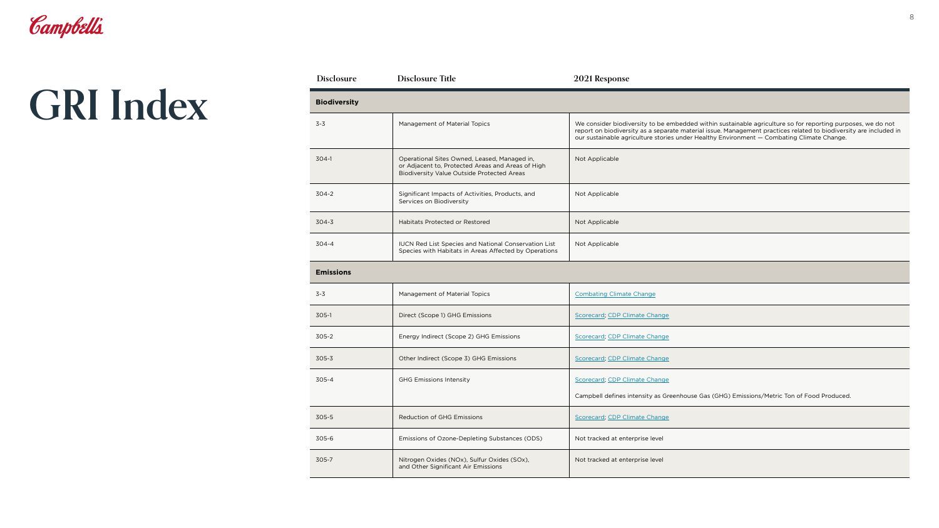| <b>BIOQIVERSITY</b> |                                                                                                                                                        |                                                                                                                                                                                                                                                                                                                               |  |
|---------------------|--------------------------------------------------------------------------------------------------------------------------------------------------------|-------------------------------------------------------------------------------------------------------------------------------------------------------------------------------------------------------------------------------------------------------------------------------------------------------------------------------|--|
| 3-3                 | Management of Material Topics                                                                                                                          | We consider biodiversity to be embedded within sustainable agriculture so for reporting purposes, we do not<br>report on biodiversity as a separate material issue. Management practices related to biodiversity are included in<br>our sustainable agriculture stories under Healthy Environment - Combating Climate Change. |  |
| 304-1               | Operational Sites Owned, Leased, Managed in,<br>or Adjacent to, Protected Areas and Areas of High<br><b>Biodiversity Value Outside Protected Areas</b> | Not Applicable                                                                                                                                                                                                                                                                                                                |  |
| 304-2               | Significant Impacts of Activities, Products, and<br>Services on Biodiversity                                                                           | Not Applicable                                                                                                                                                                                                                                                                                                                |  |
| 304-3               | Habitats Protected or Restored                                                                                                                         | Not Applicable                                                                                                                                                                                                                                                                                                                |  |
| 304-4               | <b>IUCN Red List Species and National Conservation List</b><br>Species with Habitats in Areas Affected by Operations                                   | Not Applicable                                                                                                                                                                                                                                                                                                                |  |

| <b>Disclosure</b>   | <b>Disclosure Title</b>                                                                                                                                                  | 2021 Response                                                     |
|---------------------|--------------------------------------------------------------------------------------------------------------------------------------------------------------------------|-------------------------------------------------------------------|
| <b>Biodiversity</b> |                                                                                                                                                                          |                                                                   |
| $3 - 3$             | <b>Management of Material Topics</b><br>We consider biodiversity to be a<br>report on biodiversity as a separ<br>our sustainable agriculture storie                      |                                                                   |
| $304-1$             | Operational Sites Owned, Leased, Managed in,<br>Not Applicable<br>or Adjacent to, Protected Areas and Areas of High<br><b>Biodiversity Value Outside Protected Areas</b> |                                                                   |
| $304 - 2$           | Significant Impacts of Activities, Products, and<br>Services on Biodiversity                                                                                             | Not Applicable                                                    |
| $304 - 3$           | <b>Habitats Protected or Restored</b>                                                                                                                                    | Not Applicable                                                    |
| $304 - 4$           | <b>IUCN Red List Species and National Conservation List</b><br>Species with Habitats in Areas Affected by Operations                                                     | Not Applicable                                                    |
| <b>Emissions</b>    |                                                                                                                                                                          |                                                                   |
| $3 - 3$             | <b>Management of Material Topics</b>                                                                                                                                     | <b>Combating Climate Change</b>                                   |
| $305-1$             | Direct (Scope 1) GHG Emissions                                                                                                                                           | Scorecard; CDP Climate Change                                     |
| $305 - 2$           | Energy Indirect (Scope 2) GHG Emissions                                                                                                                                  | Scorecard; CDP Climate Change                                     |
| $305 - 3$           | Other Indirect (Scope 3) GHG Emissions                                                                                                                                   | Scorecard; CDP Climate Change                                     |
| 305-4               | <b>GHG Emissions Intensity</b>                                                                                                                                           | Scorecard; CDP Climate Change<br>Campbell defines intensity as Gr |
| 305-5               | <b>Reduction of GHG Emissions</b>                                                                                                                                        | Scorecard; CDP Climate Change                                     |
| $305 - 6$           | Emissions of Ozone-Depleting Substances (ODS)<br>Not tracked at enterprise level                                                                                         |                                                                   |
| 305-7               | Nitrogen Oxides (NOx), Sulfur Oxides (SOx),<br>Not tracked at enterprise level<br>and Other Significant Air Emissions                                                    |                                                                   |

|      | <b>Combating Climate Change</b>                                                           |
|------|-------------------------------------------------------------------------------------------|
|      | Scorecard; CDP Climate Change                                                             |
|      | Scorecard; CDP Climate Change                                                             |
|      | Scorecard; CDP Climate Change                                                             |
|      | Scorecard, CDP Climate Change                                                             |
|      | Campbell defines intensity as Greenhouse Gas (GHG) Emissions/Metric Ton of Food Produced. |
|      | Scorecard; CDP Climate Change                                                             |
| DDS) | Not tracked at enterprise level                                                           |
|      | Not tracked at enterprise level                                                           |
|      |                                                                                           |

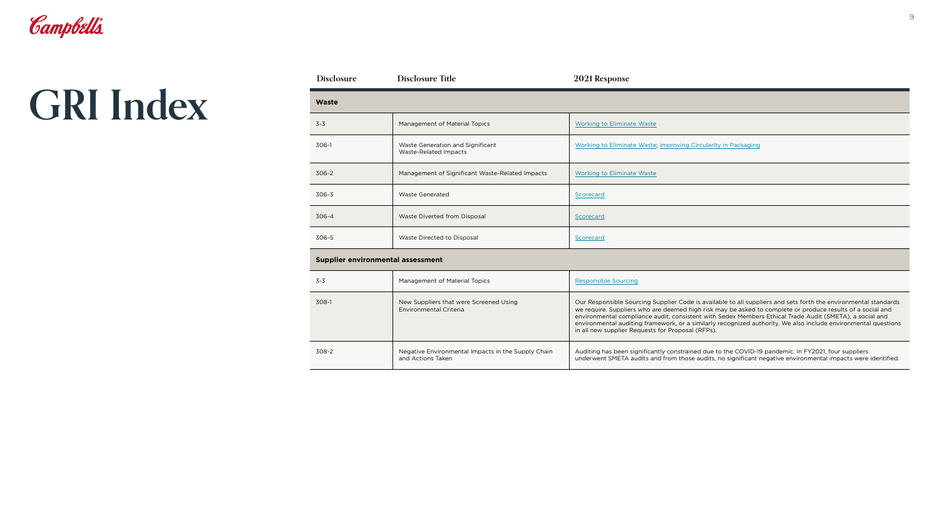|       | <b>Working to Eliminate Waste</b>                              |
|-------|----------------------------------------------------------------|
|       | Working to Eliminate Waste; Improving Circularity in Packaging |
| pacts | <b>Working to Eliminate Waste</b>                              |
|       | Scorecard                                                      |
|       | Scorecard                                                      |
|       | Scorecard                                                      |
|       |                                                                |

| <b>Disclosure</b>                        | <b>Disclosure Title</b>                                                 | 2021 Response                                                                                                                                          |  |  |
|------------------------------------------|-------------------------------------------------------------------------|--------------------------------------------------------------------------------------------------------------------------------------------------------|--|--|
| <b>Waste</b>                             |                                                                         |                                                                                                                                                        |  |  |
| $3 - 3$                                  | Management of Material Topics                                           | <b>Working to Eliminate Waste</b>                                                                                                                      |  |  |
| 306-1                                    | Waste Generation and Significant<br>Waste-Related Impacts               | <b>Working to Eliminate Waste</b>                                                                                                                      |  |  |
| 306-2                                    | Management of Significant Waste-Related Impacts                         | <b>Working to Eliminate Waste</b>                                                                                                                      |  |  |
| 306-3                                    | <b>Waste Generated</b>                                                  | Scorecard                                                                                                                                              |  |  |
| 306-4                                    | Waste Diverted from Disposal                                            | Scorecard                                                                                                                                              |  |  |
| 306-5                                    | Waste Directed to Disposal                                              | Scorecard                                                                                                                                              |  |  |
| <b>Supplier environmental assessment</b> |                                                                         |                                                                                                                                                        |  |  |
| $3 - 3$                                  | Management of Material Topics                                           | <b>Responsible Sourcing</b>                                                                                                                            |  |  |
| 308-1                                    | New Suppliers that were Screened Using<br>Environmental Criteria        | Our Responsible Sourcing S<br>we require. Suppliers who a<br>environmental compliance a<br>environmental auditing fram<br>in all new supplier Requests |  |  |
| 308-2                                    | Negative Environmental Impacts in the Supply Chain<br>and Actions Taken | Auditing has been significar<br>underwent SMETA audits ar                                                                                              |  |  |

|           | Responsible Sourcing                                                                                                                                                                                                                                                                                                                                                                                                                                                                                            |
|-----------|-----------------------------------------------------------------------------------------------------------------------------------------------------------------------------------------------------------------------------------------------------------------------------------------------------------------------------------------------------------------------------------------------------------------------------------------------------------------------------------------------------------------|
|           | Our Responsible Sourcing Supplier Code is available to all suppliers and sets forth the environmental standards<br>we require. Suppliers who are deemed high risk may be asked to complete or produce results of a social and<br>environmental compliance audit, consistent with Sedex Members Ethical Trade Audit (SMETA), a social and<br>environmental auditing framework, or a similarly recognized authority. We also include environmental questions<br>in all new supplier Requests for Proposal (RFPs). |
| .ly Chain | Auditing has been significantly constrained due to the COVID-19 pandemic. In FY2021, four suppliers<br>underwent SMETA audits and from those audits, no significant negative environmental impacts were identified.                                                                                                                                                                                                                                                                                             |

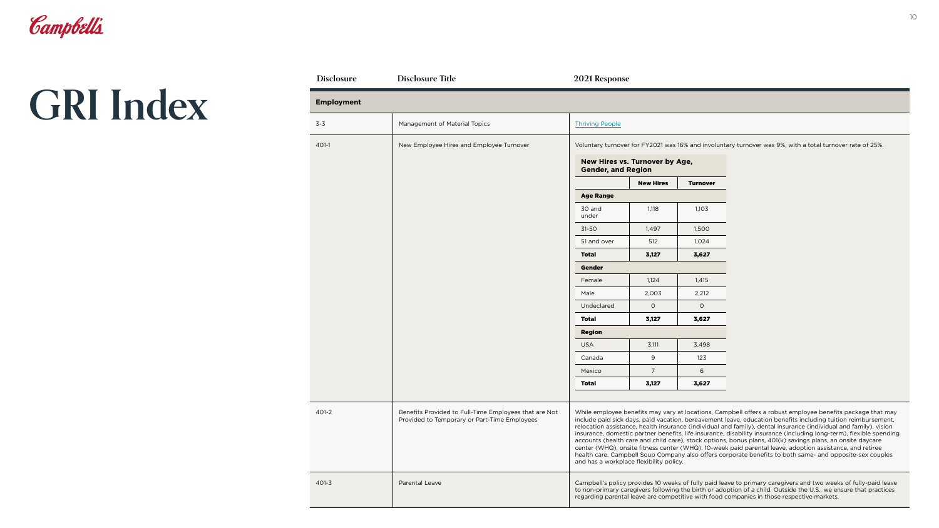| <b>Disclosure</b> | <b>Disclosure Title</b>                                                                               | 2021 Response                                                                                                                                                                                                                                                                                                                                                                                                                                                                                                                                                                                                                                                                                                                                                                                                                                            |                                |                 |                                                                                                                                                                                                                                                                                                                                  |
|-------------------|-------------------------------------------------------------------------------------------------------|----------------------------------------------------------------------------------------------------------------------------------------------------------------------------------------------------------------------------------------------------------------------------------------------------------------------------------------------------------------------------------------------------------------------------------------------------------------------------------------------------------------------------------------------------------------------------------------------------------------------------------------------------------------------------------------------------------------------------------------------------------------------------------------------------------------------------------------------------------|--------------------------------|-----------------|----------------------------------------------------------------------------------------------------------------------------------------------------------------------------------------------------------------------------------------------------------------------------------------------------------------------------------|
| <b>Employment</b> |                                                                                                       |                                                                                                                                                                                                                                                                                                                                                                                                                                                                                                                                                                                                                                                                                                                                                                                                                                                          |                                |                 |                                                                                                                                                                                                                                                                                                                                  |
| $3 - 3$           | Management of Material Topics                                                                         | <b>Thriving People</b>                                                                                                                                                                                                                                                                                                                                                                                                                                                                                                                                                                                                                                                                                                                                                                                                                                   |                                |                 |                                                                                                                                                                                                                                                                                                                                  |
| 401-1             | New Employee Hires and Employee Turnover                                                              |                                                                                                                                                                                                                                                                                                                                                                                                                                                                                                                                                                                                                                                                                                                                                                                                                                                          |                                |                 | Voluntary turnover for FY2021 was 16% and involuntary turnover was 9%, with a total turnover rate of 25%.                                                                                                                                                                                                                        |
|                   |                                                                                                       | <b>Gender, and Region</b>                                                                                                                                                                                                                                                                                                                                                                                                                                                                                                                                                                                                                                                                                                                                                                                                                                | New Hires vs. Turnover by Age, |                 |                                                                                                                                                                                                                                                                                                                                  |
|                   |                                                                                                       |                                                                                                                                                                                                                                                                                                                                                                                                                                                                                                                                                                                                                                                                                                                                                                                                                                                          | <b>New Hires</b>               | <b>Turnover</b> |                                                                                                                                                                                                                                                                                                                                  |
|                   |                                                                                                       | <b>Age Range</b>                                                                                                                                                                                                                                                                                                                                                                                                                                                                                                                                                                                                                                                                                                                                                                                                                                         |                                |                 |                                                                                                                                                                                                                                                                                                                                  |
|                   |                                                                                                       | 30 and<br>under                                                                                                                                                                                                                                                                                                                                                                                                                                                                                                                                                                                                                                                                                                                                                                                                                                          | 1,118                          | 1,103           |                                                                                                                                                                                                                                                                                                                                  |
|                   |                                                                                                       | $31-50$                                                                                                                                                                                                                                                                                                                                                                                                                                                                                                                                                                                                                                                                                                                                                                                                                                                  | 1,497                          | 1,500           |                                                                                                                                                                                                                                                                                                                                  |
|                   |                                                                                                       | 51 and over                                                                                                                                                                                                                                                                                                                                                                                                                                                                                                                                                                                                                                                                                                                                                                                                                                              | 512                            | 1,024           |                                                                                                                                                                                                                                                                                                                                  |
|                   |                                                                                                       | <b>Total</b>                                                                                                                                                                                                                                                                                                                                                                                                                                                                                                                                                                                                                                                                                                                                                                                                                                             | 3,127                          | 3,627           |                                                                                                                                                                                                                                                                                                                                  |
|                   |                                                                                                       | <b>Gender</b>                                                                                                                                                                                                                                                                                                                                                                                                                                                                                                                                                                                                                                                                                                                                                                                                                                            |                                |                 |                                                                                                                                                                                                                                                                                                                                  |
|                   |                                                                                                       | Female                                                                                                                                                                                                                                                                                                                                                                                                                                                                                                                                                                                                                                                                                                                                                                                                                                                   | 1,124                          | 1,415           |                                                                                                                                                                                                                                                                                                                                  |
|                   |                                                                                                       | Male                                                                                                                                                                                                                                                                                                                                                                                                                                                                                                                                                                                                                                                                                                                                                                                                                                                     | 2,003                          | 2,212           |                                                                                                                                                                                                                                                                                                                                  |
|                   |                                                                                                       | Undeclared                                                                                                                                                                                                                                                                                                                                                                                                                                                                                                                                                                                                                                                                                                                                                                                                                                               | $\circ$                        | $\circ$         |                                                                                                                                                                                                                                                                                                                                  |
|                   |                                                                                                       | <b>Total</b>                                                                                                                                                                                                                                                                                                                                                                                                                                                                                                                                                                                                                                                                                                                                                                                                                                             | 3,127                          | 3,627           |                                                                                                                                                                                                                                                                                                                                  |
|                   |                                                                                                       | <b>Region</b>                                                                                                                                                                                                                                                                                                                                                                                                                                                                                                                                                                                                                                                                                                                                                                                                                                            |                                |                 |                                                                                                                                                                                                                                                                                                                                  |
|                   |                                                                                                       | <b>USA</b>                                                                                                                                                                                                                                                                                                                                                                                                                                                                                                                                                                                                                                                                                                                                                                                                                                               | 3,111                          | 3,498           |                                                                                                                                                                                                                                                                                                                                  |
|                   |                                                                                                       | Canada                                                                                                                                                                                                                                                                                                                                                                                                                                                                                                                                                                                                                                                                                                                                                                                                                                                   | 9                              | 123             |                                                                                                                                                                                                                                                                                                                                  |
|                   |                                                                                                       | Mexico                                                                                                                                                                                                                                                                                                                                                                                                                                                                                                                                                                                                                                                                                                                                                                                                                                                   | $\overline{7}$                 | 6               |                                                                                                                                                                                                                                                                                                                                  |
|                   |                                                                                                       | <b>Total</b>                                                                                                                                                                                                                                                                                                                                                                                                                                                                                                                                                                                                                                                                                                                                                                                                                                             | 3,127                          | 3,627           |                                                                                                                                                                                                                                                                                                                                  |
| 401-2             | Benefits Provided to Full-Time Employees that are Not<br>Provided to Temporary or Part-Time Employees | While employee benefits may vary at locations, Campbell offers a robust employee benefits package that may<br>include paid sick days, paid vacation, bereavement leave, education benefits including tuition reimbursement,<br>relocation assistance, health insurance (individual and family), dental insurance (individual and family), vision<br>insurance, domestic partner benefits, life insurance, disability insurance (including long-term), flexible spending<br>accounts (health care and child care), stock options, bonus plans, 401(k) savings plans, an onsite daycare<br>center (WHQ), onsite fitness center (WHQ), 10-week paid parental leave, adoption assistance, and retiree<br>health care. Campbell Soup Company also offers corporate benefits to both same- and opposite-sex couples<br>and has a workplace flexibility policy. |                                |                 |                                                                                                                                                                                                                                                                                                                                  |
| $401 - 3$         | Parental Leave                                                                                        |                                                                                                                                                                                                                                                                                                                                                                                                                                                                                                                                                                                                                                                                                                                                                                                                                                                          |                                |                 | Campbell's policy provides 10 weeks of fully paid leave to primary caregivers and two weeks of fully-paid leave<br>to non-primary caregivers following the birth or adoption of a child. Outside the U.S., we ensure that practices<br>regarding parental leave are competitive with food companies in those respective markets. |

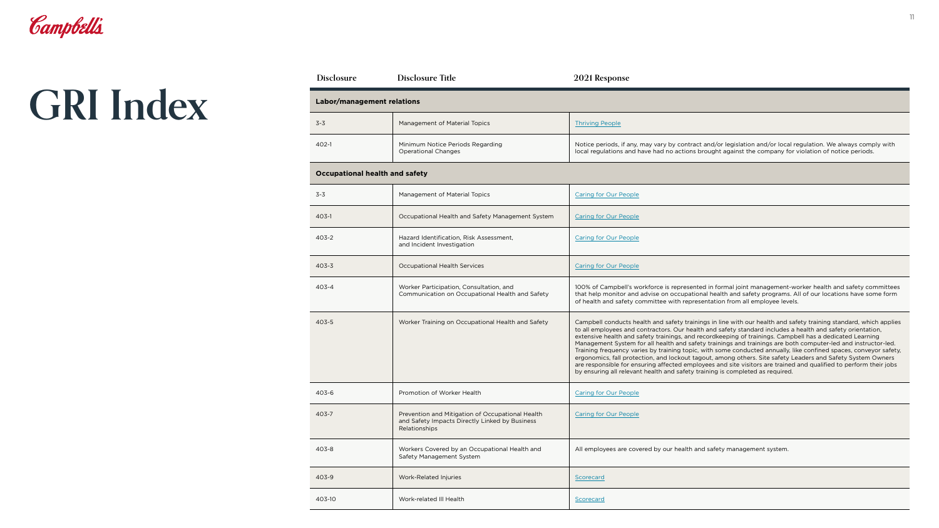| <b>Disclosure</b>                     | <b>Disclosure Title</b>                                                                                             | 2021 Response                                                                                                                                                                                                                                                                                                                                                                                                                                                                                                                                                                                                                                                                                                                                                                                                                                                                                          |
|---------------------------------------|---------------------------------------------------------------------------------------------------------------------|--------------------------------------------------------------------------------------------------------------------------------------------------------------------------------------------------------------------------------------------------------------------------------------------------------------------------------------------------------------------------------------------------------------------------------------------------------------------------------------------------------------------------------------------------------------------------------------------------------------------------------------------------------------------------------------------------------------------------------------------------------------------------------------------------------------------------------------------------------------------------------------------------------|
| <b>Labor/management relations</b>     |                                                                                                                     |                                                                                                                                                                                                                                                                                                                                                                                                                                                                                                                                                                                                                                                                                                                                                                                                                                                                                                        |
| $3 - 3$                               | Management of Material Topics                                                                                       | <b>Thriving People</b>                                                                                                                                                                                                                                                                                                                                                                                                                                                                                                                                                                                                                                                                                                                                                                                                                                                                                 |
| 402-1                                 | Minimum Notice Periods Regarding<br><b>Operational Changes</b>                                                      | Notice periods, if any, may vary by contract and/or legislation and/or local regulation. We always comply with<br>local regulations and have had no actions brought against the company for violation of notice periods.                                                                                                                                                                                                                                                                                                                                                                                                                                                                                                                                                                                                                                                                               |
| <b>Occupational health and safety</b> |                                                                                                                     |                                                                                                                                                                                                                                                                                                                                                                                                                                                                                                                                                                                                                                                                                                                                                                                                                                                                                                        |
| $3 - 3$                               | Management of Material Topics                                                                                       | <b>Caring for Our People</b>                                                                                                                                                                                                                                                                                                                                                                                                                                                                                                                                                                                                                                                                                                                                                                                                                                                                           |
| 403-1                                 | Occupational Health and Safety Management System                                                                    | <b>Caring for Our People</b>                                                                                                                                                                                                                                                                                                                                                                                                                                                                                                                                                                                                                                                                                                                                                                                                                                                                           |
| $403 - 2$                             | Hazard Identification, Risk Assessment,<br>and Incident Investigation                                               | <b>Caring for Our People</b>                                                                                                                                                                                                                                                                                                                                                                                                                                                                                                                                                                                                                                                                                                                                                                                                                                                                           |
| $403 - 3$                             | <b>Occupational Health Services</b>                                                                                 | <b>Caring for Our People</b>                                                                                                                                                                                                                                                                                                                                                                                                                                                                                                                                                                                                                                                                                                                                                                                                                                                                           |
| 403-4                                 | Worker Participation, Consultation, and<br>Communication on Occupational Health and Safety                          | 100% of Campbell's workforce is represented in formal joint management-worker health and safety committees<br>that help monitor and advise on occupational health and safety programs. All of our locations have some form<br>of health and safety committee with representation from all employee levels.                                                                                                                                                                                                                                                                                                                                                                                                                                                                                                                                                                                             |
| $403 - 5$                             | Worker Training on Occupational Health and Safety                                                                   | Campbell conducts health and safety trainings in line with our health and safety training standard, which applies<br>to all employees and contractors. Our health and safety standard includes a health and safety orientation,<br>extensive health and safety trainings, and recordkeeping of trainings. Campbell has a dedicated Learning<br>Management System for all health and safety trainings and trainings are both computer-led and instructor-led.<br>Training frequency varies by training topic, with some conducted annually, like confined spaces, conveyor safety,<br>ergonomics, fall protection, and lockout tagout, among others. Site safety Leaders and Safety System Owners<br>are responsible for ensuring affected employees and site visitors are trained and qualified to perform their jobs<br>by ensuring all relevant health and safety training is completed as required. |
| 403-6                                 | Promotion of Worker Health                                                                                          | <b>Caring for Our People</b>                                                                                                                                                                                                                                                                                                                                                                                                                                                                                                                                                                                                                                                                                                                                                                                                                                                                           |
| 403-7                                 | Prevention and Mitigation of Occupational Health<br>and Safety Impacts Directly Linked by Business<br>Relationships | <b>Caring for Our People</b>                                                                                                                                                                                                                                                                                                                                                                                                                                                                                                                                                                                                                                                                                                                                                                                                                                                                           |
| 403-8                                 | Workers Covered by an Occupational Health and<br>Safety Management System                                           | All employees are covered by our health and safety management system.                                                                                                                                                                                                                                                                                                                                                                                                                                                                                                                                                                                                                                                                                                                                                                                                                                  |
| 403-9                                 | Work-Related Injuries                                                                                               | Scorecard                                                                                                                                                                                                                                                                                                                                                                                                                                                                                                                                                                                                                                                                                                                                                                                                                                                                                              |
| 403-10                                | Work-related III Health                                                                                             | Scorecard                                                                                                                                                                                                                                                                                                                                                                                                                                                                                                                                                                                                                                                                                                                                                                                                                                                                                              |

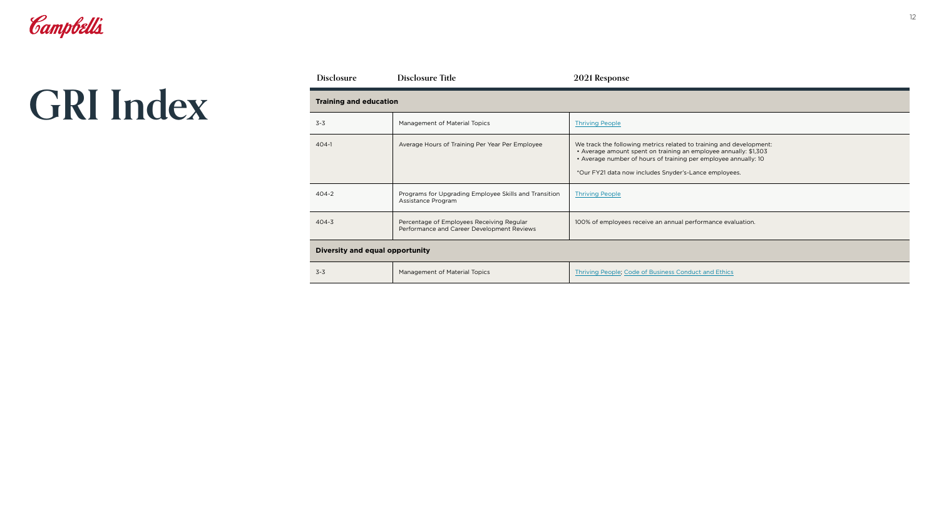| <b>Disclosure</b>               | <b>Disclosure Title</b>                                                                 | 2021 Response                                                                                                                                                                                                                                                       |
|---------------------------------|-----------------------------------------------------------------------------------------|---------------------------------------------------------------------------------------------------------------------------------------------------------------------------------------------------------------------------------------------------------------------|
| <b>Training and education</b>   |                                                                                         |                                                                                                                                                                                                                                                                     |
| $3 - 3$                         | Management of Material Topics                                                           | <b>Thriving People</b>                                                                                                                                                                                                                                              |
| $404-1$                         | Average Hours of Training Per Year Per Employee                                         | We track the following metrics related to training and development:<br>• Average amount spent on training an employee annually: \$1,303<br>• Average number of hours of training per employee annually: 10<br>*Our FY21 data now includes Snyder's-Lance employees. |
| $404 - 2$                       | Programs for Upgrading Employee Skills and Transition<br>Assistance Program             | <b>Thriving People</b>                                                                                                                                                                                                                                              |
| $404 - 3$                       | Percentage of Employees Receiving Regular<br>Performance and Career Development Reviews | 100% of employees receive an annual performance evaluation.                                                                                                                                                                                                         |
| Diversity and equal opportunity |                                                                                         |                                                                                                                                                                                                                                                                     |
| $3 - 3$                         | <b>Management of Material Topics</b>                                                    | Thriving People, Code of Business Conduct and Ethics                                                                                                                                                                                                                |

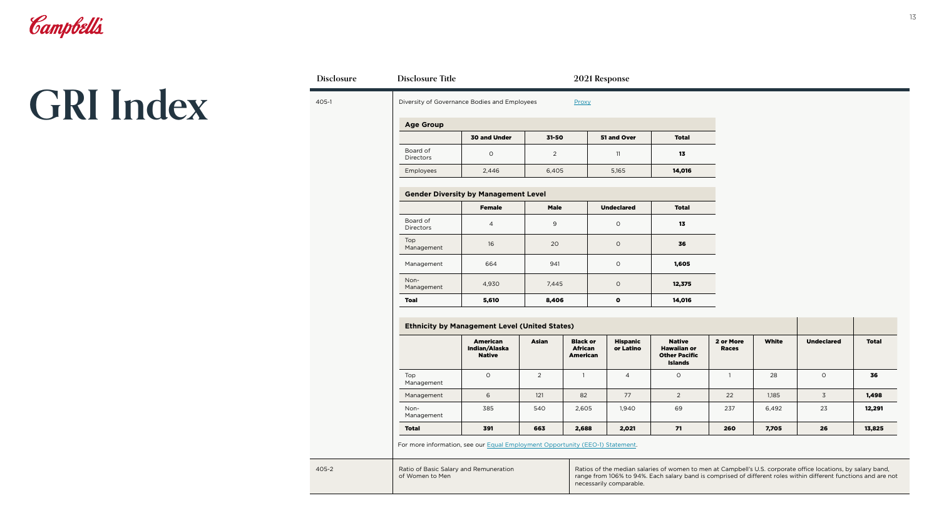

### **GRI Index**

405-2

405-1 Diversity of Governance Bodies and Employees Proxy

### **Gender Diversity by Management Level**

|                              | <b>Female</b>  | <b>Male</b> | <b>Undeclared</b> | <b>Total</b> |  |
|------------------------------|----------------|-------------|-------------------|--------------|--|
| Board of<br><b>Directors</b> | $\overline{a}$ | $\mathsf 9$ | $\circ$           | 13           |  |
| Top<br>Management            | 16             | 20          | $\circ$           | 36           |  |
| Management                   | 664            | 941         | $\circ$           | 1,605        |  |
| Non-<br>Management           | 4,930          | 7,445       | $\circ$           | 12,375       |  |
| <b>Toal</b>                  | 5,610          | 8,406       | $\bullet$         | 14,016       |  |

|                    | <b>American</b><br>Indian/Alaska<br><b>Native</b> | <b>Asian</b>   | <b>Black or</b><br><b>African</b><br><b>American</b> | <b>Hispanic</b><br>or Latino | <b>Native</b><br><b>Hawaiian or</b><br><b>Other Pacific</b><br><b>Islands</b> | 2 or More<br><b>Races</b> | <b>White</b> | <b>Undeclared</b> | <b>Total</b> |
|--------------------|---------------------------------------------------|----------------|------------------------------------------------------|------------------------------|-------------------------------------------------------------------------------|---------------------------|--------------|-------------------|--------------|
| Top<br>Management  | $\circ$                                           | $\overline{2}$ |                                                      | 4                            | $\circ$                                                                       |                           | 28           | $\Omega$          | 36           |
| Management         | 6                                                 | 121            | 82                                                   | 77                           | $\overline{2}$                                                                | 22                        | 1,185        | 3                 | 1,498        |
| Non-<br>Management | 385                                               | 540            | 2,605                                                | 1,940                        | 69                                                                            | 237                       | 6,492        | 23                | 12,291       |
| <b>Total</b>       | 391                                               | 663            | 2,688                                                | 2,021                        | 71                                                                            | 260                       | 7,705        | 26                | 13,825       |

| <b>Age Group</b>             |                     |       |             |              |
|------------------------------|---------------------|-------|-------------|--------------|
|                              | <b>30 and Under</b> | 31-50 | 51 and Over | <b>Total</b> |
| Board of<br><b>Directors</b> |                     |       | 11          | 13           |
| <b>Employees</b>             | 2,446               | 6,405 | 5,165       | 14,016       |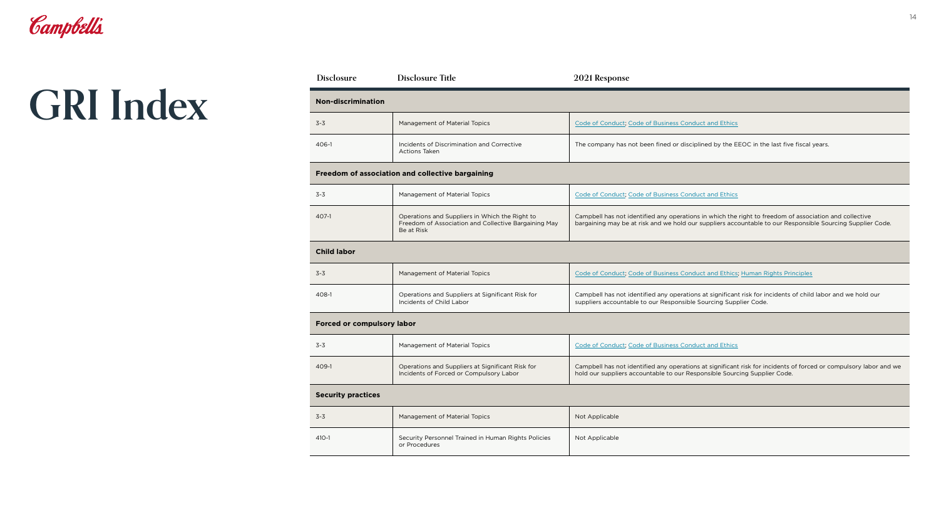| Code of Conduct, Code of Business Conduct and Ethics                                     |
|------------------------------------------------------------------------------------------|
| The company has not been fined or disciplined by the EEOC in the last five fiscal years. |
|                                                                                          |

|            | Code of Conduct; Code of Business Conduct and Ethics                                                       |
|------------|------------------------------------------------------------------------------------------------------------|
| t to       | Campbell has not identified any operations in which the right to freedom of association and collective     |
| aining May | bargaining may be at risk and we hold our suppliers accountable to our Responsible Sourcing Supplier Code. |

| <b>Disclosure</b>                                                                     | <b>Disclosure Title</b>                                                                                              | 2021 Response                                                                                                       |
|---------------------------------------------------------------------------------------|----------------------------------------------------------------------------------------------------------------------|---------------------------------------------------------------------------------------------------------------------|
| <b>Non-discrimination</b>                                                             |                                                                                                                      |                                                                                                                     |
| $3 - 3$                                                                               | <b>Management of Material Topics</b>                                                                                 | Code of Conduct, Code of Business Conduct and Ethics                                                                |
| 406-1                                                                                 | Incidents of Discrimination and Corrective<br><b>Actions Taken</b>                                                   | The company has not been fined or disciplined by the E                                                              |
|                                                                                       | Freedom of association and collective bargaining                                                                     |                                                                                                                     |
| $3 - 3$                                                                               | Management of Material Topics                                                                                        | Code of Conduct, Code of Business Conduct and Ethics                                                                |
| 407-1                                                                                 | Operations and Suppliers in Which the Right to<br>Freedom of Association and Collective Bargaining May<br>Be at Risk | Campbell has not identified any operations in which the<br>bargaining may be at risk and we hold our suppliers acc  |
| <b>Child labor</b>                                                                    |                                                                                                                      |                                                                                                                     |
| $3 - 3$                                                                               | <b>Management of Material Topics</b>                                                                                 | Code of Conduct; Code of Business Conduct and Ethics                                                                |
| 408-1<br>Operations and Suppliers at Significant Risk for<br>Incidents of Child Labor |                                                                                                                      | Campbell has not identified any operations at significan<br>suppliers accountable to our Responsible Sourcing Supp  |
| <b>Forced or compulsory labor</b>                                                     |                                                                                                                      |                                                                                                                     |
| $3 - 3$                                                                               | Management of Material Topics                                                                                        | Code of Conduct; Code of Business Conduct and Ethics                                                                |
| 409-1                                                                                 | Operations and Suppliers at Significant Risk for<br>Incidents of Forced or Compulsory Labor                          | Campbell has not identified any operations at significan<br>hold our suppliers accountable to our Responsible Soure |
| <b>Security practices</b>                                                             |                                                                                                                      |                                                                                                                     |
| $3 - 3$                                                                               | <b>Management of Material Topics</b>                                                                                 | Not Applicable                                                                                                      |
| $410 - 1$                                                                             | Security Personnel Trained in Human Rights Policies<br>or Procedures                                                 | Not Applicable                                                                                                      |

| $3 - 3$ | Management of Material Topics                                                | Code of Conduct; Code of Business Conduct and Ethics; Human Rights Principles                                                                                                   |
|---------|------------------------------------------------------------------------------|---------------------------------------------------------------------------------------------------------------------------------------------------------------------------------|
| 408-1   | Operations and Suppliers at Significant Risk for<br>Incidents of Child Labor | Campbell has not identified any operations at significant risk for incidents of child labor and we hold our<br>suppliers accountable to our Responsible Sourcing Supplier Code. |

|     | Code of Conduct, Code of Business Conduct and Ethics                                                                                                                                           |
|-----|------------------------------------------------------------------------------------------------------------------------------------------------------------------------------------------------|
| for | Campbell has not identified any operations at significant risk for incidents of forced or compulsory labor and we<br>hold our suppliers accountable to our Responsible Sourcing Supplier Code. |

|          | Not Applicable |
|----------|----------------|
| Policies | Not Applicable |

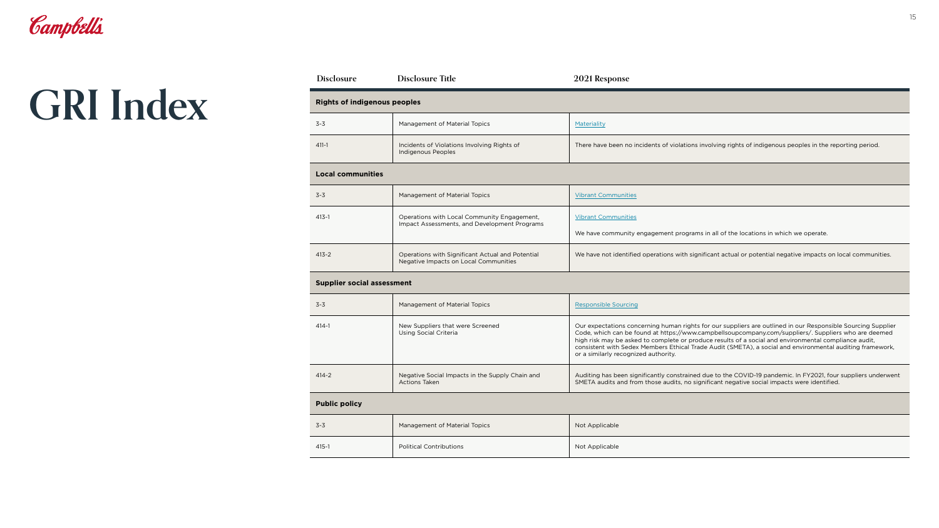| Materiality                                                                                                |
|------------------------------------------------------------------------------------------------------------|
| There have been no incidents of violations involving rights of indigenous peoples in the reporting period. |

| <b>Disclosure</b>                   | <b>Disclosure Title</b>                                                                     | 2021 Response                                                                                   |  |  |  |
|-------------------------------------|---------------------------------------------------------------------------------------------|-------------------------------------------------------------------------------------------------|--|--|--|
| <b>Rights of indigenous peoples</b> |                                                                                             |                                                                                                 |  |  |  |
| $3 - 3$                             | Management of Material Topics<br>Materiality                                                |                                                                                                 |  |  |  |
| $411 - 1$                           | Incidents of Violations Involving Rights of<br><b>Indigenous Peoples</b>                    | There have been no ir                                                                           |  |  |  |
| <b>Local communities</b>            |                                                                                             |                                                                                                 |  |  |  |
| $3 - 3$                             | Management of Material Topics                                                               | <b>Vibrant Communities</b>                                                                      |  |  |  |
| $413 - 1$                           | Operations with Local Community Engagement,<br>Impact Assessments, and Development Programs | <b>Vibrant Communities</b>                                                                      |  |  |  |
|                                     |                                                                                             | We have community                                                                               |  |  |  |
| $413 - 2$                           | Operations with Significant Actual and Potential<br>Negative Impacts on Local Communities   | We have not identified                                                                          |  |  |  |
| <b>Supplier social assessment</b>   |                                                                                             |                                                                                                 |  |  |  |
| $3 - 3$                             | Management of Material Topics<br><b>Responsible Sourcing</b>                                |                                                                                                 |  |  |  |
| $414 - 1$                           | New Suppliers that were Screened<br><b>Using Social Criteria</b>                            | Our expectations con<br>Code, which can be fo<br>high risk may be aske<br>consistent with Sedex |  |  |  |

|                | <b>Vibrant Communities</b>                                                                                    |  |
|----------------|---------------------------------------------------------------------------------------------------------------|--|
| ient,<br>arams | <b>Vibrant Communities</b>                                                                                    |  |
|                | We have community engagement programs in all of the locations in which we operate.                            |  |
| ntial          | We have not identified operations with significant actual or potential negative impacts on local communities. |  |

| $3 - 3$ | Management of Material Topics                                           | <b>Responsible Sourcing</b>                                                                                                                                                                                                                                                                                                                                                                                                                                                        |
|---------|-------------------------------------------------------------------------|------------------------------------------------------------------------------------------------------------------------------------------------------------------------------------------------------------------------------------------------------------------------------------------------------------------------------------------------------------------------------------------------------------------------------------------------------------------------------------|
| 414-1   | New Suppliers that were Screened<br>Using Social Criteria               | Our expectations concerning human rights for our suppliers are outlined in our Responsible Sourcing Supplier<br>Code, which can be found at https://www.campbellsoupcompany.com/suppliers/. Suppliers who are deemed<br>high risk may be asked to complete or produce results of a social and environmental compliance audit,<br>consistent with Sedex Members Ethical Trade Audit (SMETA), a social and environmental auditing framework,<br>or a similarly recognized authority. |
| 414-2   | Negative Social Impacts in the Supply Chain and<br><b>Actions Taken</b> | Auditing has been significantly constrained due to the COVID-19 pandemic. In FY2021, four suppliers underwent<br>SMETA audits and from those audits, no significant negative social impacts were identified.                                                                                                                                                                                                                                                                       |

| Not Applicable |
|----------------|
| Not Applicable |

3-3 Management of Material Topics

415-1 **Political Contributions** 

**Public policy**